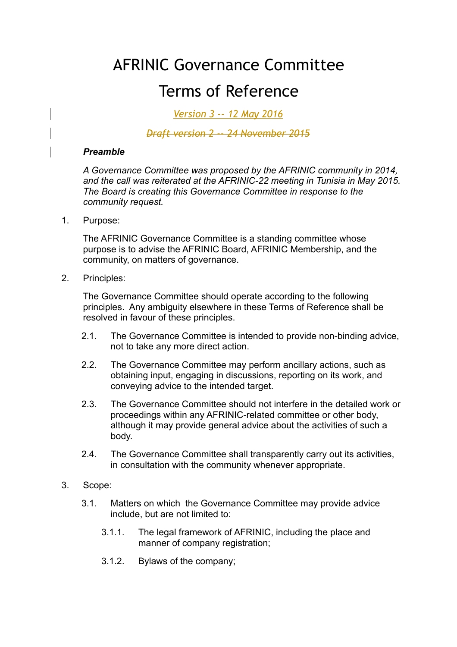# AFRINIC Governance Committee

# Terms of Reference

*Version 3 -- 12 May 2016*

## *Draft version 2 -- 24 November 2015*

#### *Preamble*

*A Governance Committee was proposed by the AFRINIC community in 2014, and the call was reiterated at the AFRINIC-22 meeting in Tunisia in May 2015. The Board is creating this Governance Committee in response to the community request.*

1. Purpose:

The AFRINIC Governance Committee is a standing committee whose purpose is to advise the AFRINIC Board, AFRINIC Membership, and the community, on matters of governance.

2. Principles:

The Governance Committee should operate according to the following principles. Any ambiguity elsewhere in these Terms of Reference shall be resolved in favour of these principles.

- 2.1. The Governance Committee is intended to provide non-binding advice, not to take any more direct action.
- 2.2. The Governance Committee may perform ancillary actions, such as obtaining input, engaging in discussions, reporting on its work, and conveying advice to the intended target.
- 2.3. The Governance Committee should not interfere in the detailed work or proceedings within any AFRINIC-related committee or other body, although it may provide general advice about the activities of such a body.
- 2.4. The Governance Committee shall transparently carry out its activities, in consultation with the community whenever appropriate.

### 3. Scope:

- 3.1. Matters on which the Governance Committee may provide advice include, but are not limited to:
	- 3.1.1. The legal framework of AFRINIC, including the place and manner of company registration;
	- 3.1.2. Bylaws of the company;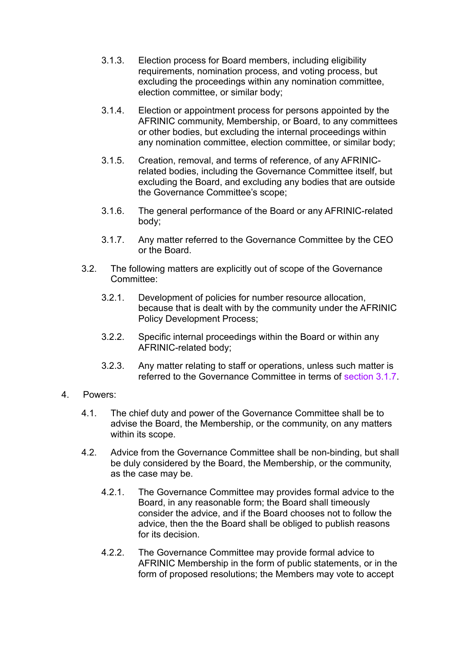- 3.1.3. Election process for Board members, including eligibility requirements, nomination process, and voting process, but excluding the proceedings within any nomination committee, election committee, or similar body;
- 3.1.4. Election or appointment process for persons appointed by the AFRINIC community, Membership, or Board, to any committees or other bodies, but excluding the internal proceedings within any nomination committee, election committee, or similar body;
- 3.1.5. Creation, removal, and terms of reference, of any AFRINICrelated bodies, including the Governance Committee itself, but excluding the Board, and excluding any bodies that are outside the Governance Committee's scope;
- 3.1.6. The general performance of the Board or any AFRINIC-related body;
- 3.1.7. Any matter referred to the Governance Committee by the CEO or the Board.
- 3.2. The following matters are explicitly out of scope of the Governance Committee:
	- 3.2.1. Development of policies for number resource allocation, because that is dealt with by the community under the AFRINIC Policy Development Process;
	- 3.2.2. Specific internal proceedings within the Board or within any AFRINIC-related body;
	- 3.2.3. Any matter relating to staff or operations, unless such matter is referred to the Governance Committee in terms of section 3.1.7.
- 4. Powers:
	- 4.1. The chief duty and power of the Governance Committee shall be to advise the Board, the Membership, or the community, on any matters within its scope.
	- 4.2. Advice from the Governance Committee shall be non-binding, but shall be duly considered by the Board, the Membership, or the community, as the case may be.
		- 4.2.1. The Governance Committee may provides formal advice to the Board, in any reasonable form; the Board shall timeously consider the advice, and if the Board chooses not to follow the advice, then the the Board shall be obliged to publish reasons for its decision.
		- 4.2.2. The Governance Committee may provide formal advice to AFRINIC Membership in the form of public statements, or in the form of proposed resolutions; the Members may vote to accept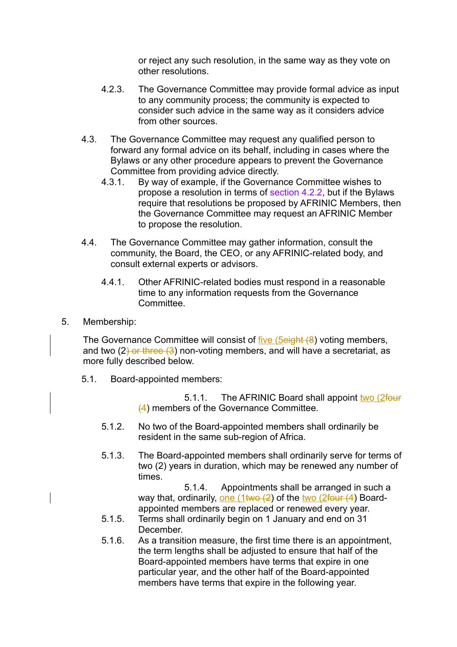or reject any such resolution, in the same way as they vote on other resolutions.

- 4.2.3. The Governance Committee may provide formal advice as input to any community process; the community is expected to consider such advice in the same way as it considers advice from other sources.
- 4.3. The Governance Committee may request any qualified person to forward any formal advice on its behalf, including in cases where the Bylaws or any other procedure appears to prevent the Governance Committee from providing advice directly.
	- 4.3.1. By way of example, if the Governance Committee wishes to propose a resolution in terms of section 4.2.2, but if the Bylaws require that resolutions be proposed by AFRINIC Members, then the Governance Committee may request an AFRINIC Member to propose the resolution.
- 4.4. The Governance Committee may gather information, consult the community, the Board, the CEO, or any AFRINIC-related body, and consult external experts or advisors.
	- 4.4.1. Other AFRINIC-related bodies must respond in a reasonable time to any information requests from the Governance Committee.
- 5. Membership:

The Governance Committee will consist of five (5eight (8) voting members, and two  $(2)$  or three  $(3)$  non-voting members, and will have a secretariat, as more fully described below.

5.1. Board-appointed members:

5.1.1. The AFRINIC Board shall appoint two (2four (4) members of the Governance Committee.

- 5.1.2. No two of the Board-appointed members shall ordinarily be resident in the same sub-region of Africa.
- 5.1.3. The Board-appointed members shall ordinarily serve for terms of two (2) years in duration, which may be renewed any number of times.

5.1.4. Appointments shall be arranged in such a way that, ordinarily, one  $(1$ two  $(2)$  of the two  $(2$ four  $(4)$  Boardappointed members are replaced or renewed every year.

- 5.1.5. Terms shall ordinarily begin on 1 January and end on 31 December.
- 5.1.6. As a transition measure, the first time there is an appointment, the term lengths shall be adjusted to ensure that half of the Board-appointed members have terms that expire in one particular year, and the other half of the Board-appointed members have terms that expire in the following year.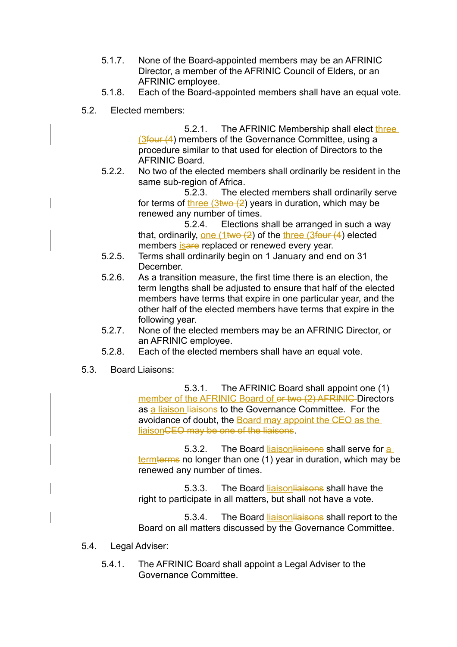- 5.1.7. None of the Board-appointed members may be an AFRINIC Director, a member of the AFRINIC Council of Elders, or an AFRINIC employee.
- 5.1.8. Each of the Board-appointed members shall have an equal vote.
- 5.2. Elected members:

5.2.1. The AFRINIC Membership shall elect three (3four (4) members of the Governance Committee, using a procedure similar to that used for election of Directors to the AFRINIC Board.

5.2.2. No two of the elected members shall ordinarily be resident in the same sub-region of Africa.

> 5.2.3. The elected members shall ordinarily serve for terms of three  $(3 \text{two} (2))$  years in duration, which may be renewed any number of times.

5.2.4. Elections shall be arranged in such a way that, ordinarily, one  $(1 \text{two} (2)$  of the three  $(3 \text{four} (4))$  elected members is a replaced or renewed every year.

- 5.2.5. Terms shall ordinarily begin on 1 January and end on 31 December.
- 5.2.6. As a transition measure, the first time there is an election, the term lengths shall be adjusted to ensure that half of the elected members have terms that expire in one particular year, and the other half of the elected members have terms that expire in the following year.
- 5.2.7. None of the elected members may be an AFRINIC Director, or an AFRINIC employee.
- 5.2.8. Each of the elected members shall have an equal vote.
- 5.3. Board Liaisons:

5.3.1. The AFRINIC Board shall appoint one (1) member of the AFRINIC Board of or two (2) AFRINIC Directors as a liaison liaisons to the Governance Committee. For the avoidance of doubt, the Board may appoint the CEO as the liaisonCEO may be one of the liaisons.

5.3.2. The Board liaisonliaisons shall serve for a termterms no longer than one (1) year in duration, which may be renewed any number of times.

5.3.3. The Board liaisonliaisons shall have the right to participate in all matters, but shall not have a vote.

5.3.4. The Board liaison liaisons shall report to the Board on all matters discussed by the Governance Committee.

- 5.4. Legal Adviser:
	- 5.4.1. The AFRINIC Board shall appoint a Legal Adviser to the Governance Committee.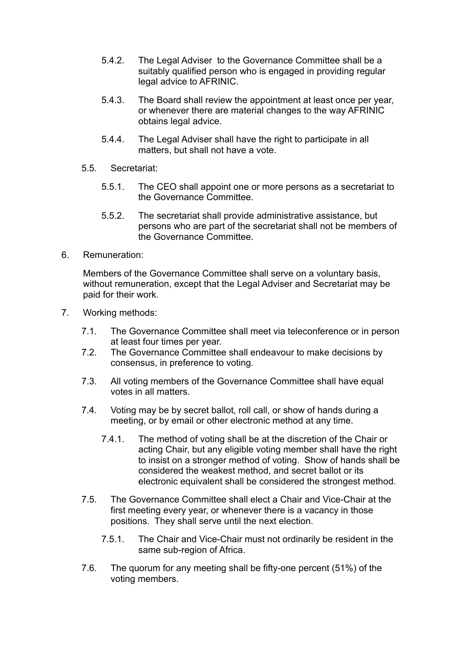- 5.4.2. The Legal Adviser to the Governance Committee shall be a suitably qualified person who is engaged in providing regular legal advice to AFRINIC.
- 5.4.3. The Board shall review the appointment at least once per year, or whenever there are material changes to the way AFRINIC obtains legal advice.
- 5.4.4. The Legal Adviser shall have the right to participate in all matters, but shall not have a vote.
- 5.5. Secretariat:
	- 5.5.1. The CEO shall appoint one or more persons as a secretariat to the Governance Committee.
	- 5.5.2. The secretariat shall provide administrative assistance, but persons who are part of the secretariat shall not be members of the Governance Committee.
- 6. Remuneration:

Members of the Governance Committee shall serve on a voluntary basis, without remuneration, except that the Legal Adviser and Secretariat may be paid for their work.

- 7. Working methods:
	- 7.1. The Governance Committee shall meet via teleconference or in person at least four times per year.
	- 7.2. The Governance Committee shall endeavour to make decisions by consensus, in preference to voting.
	- 7.3. All voting members of the Governance Committee shall have equal votes in all matters.
	- 7.4. Voting may be by secret ballot, roll call, or show of hands during a meeting, or by email or other electronic method at any time.
		- 7.4.1. The method of voting shall be at the discretion of the Chair or acting Chair, but any eligible voting member shall have the right to insist on a stronger method of voting. Show of hands shall be considered the weakest method, and secret ballot or its electronic equivalent shall be considered the strongest method.
	- 7.5. The Governance Committee shall elect a Chair and Vice-Chair at the first meeting every year, or whenever there is a vacancy in those positions. They shall serve until the next election.
		- 7.5.1. The Chair and Vice-Chair must not ordinarily be resident in the same sub-region of Africa.
	- 7.6. The quorum for any meeting shall be fifty-one percent (51%) of the voting members.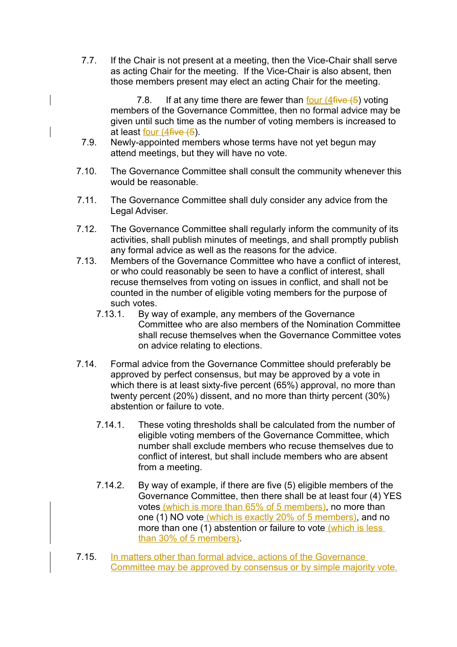7.7. If the Chair is not present at a meeting, then the Vice-Chair shall serve as acting Chair for the meeting. If the Vice-Chair is also absent, then those members present may elect an acting Chair for the meeting.

7.8. If at any time there are fewer than four  $(4$  five  $(5)$  voting members of the Governance Committee, then no formal advice may be given until such time as the number of voting members is increased to at least four (4five (5).

- 7.9. Newly-appointed members whose terms have not yet begun may attend meetings, but they will have no vote.
- 7.10. The Governance Committee shall consult the community whenever this would be reasonable.
- 7.11. The Governance Committee shall duly consider any advice from the Legal Adviser.
- 7.12. The Governance Committee shall regularly inform the community of its activities, shall publish minutes of meetings, and shall promptly publish any formal advice as well as the reasons for the advice.
- 7.13. Members of the Governance Committee who have a conflict of interest, or who could reasonably be seen to have a conflict of interest, shall recuse themselves from voting on issues in conflict, and shall not be counted in the number of eligible voting members for the purpose of such votes.
	- 7.13.1. By way of example, any members of the Governance Committee who are also members of the Nomination Committee shall recuse themselves when the Governance Committee votes on advice relating to elections.
- 7.14. Formal advice from the Governance Committee should preferably be approved by perfect consensus, but may be approved by a vote in which there is at least sixty-five percent (65%) approval, no more than twenty percent (20%) dissent, and no more than thirty percent (30%) abstention or failure to vote.
	- 7.14.1. These voting thresholds shall be calculated from the number of eligible voting members of the Governance Committee, which number shall exclude members who recuse themselves due to conflict of interest, but shall include members who are absent from a meeting.
	- 7.14.2. By way of example, if there are five (5) eligible members of the Governance Committee, then there shall be at least four (4) YES votes (which is more than 65% of 5 members), no more than one (1) NO vote (which is exactly 20% of 5 members), and no more than one (1) abstention or failure to vote (which is less than 30% of 5 members).
- 7.15. In matters other than formal advice, actions of the Governance Committee may be approved by consensus or by simple majority vote.